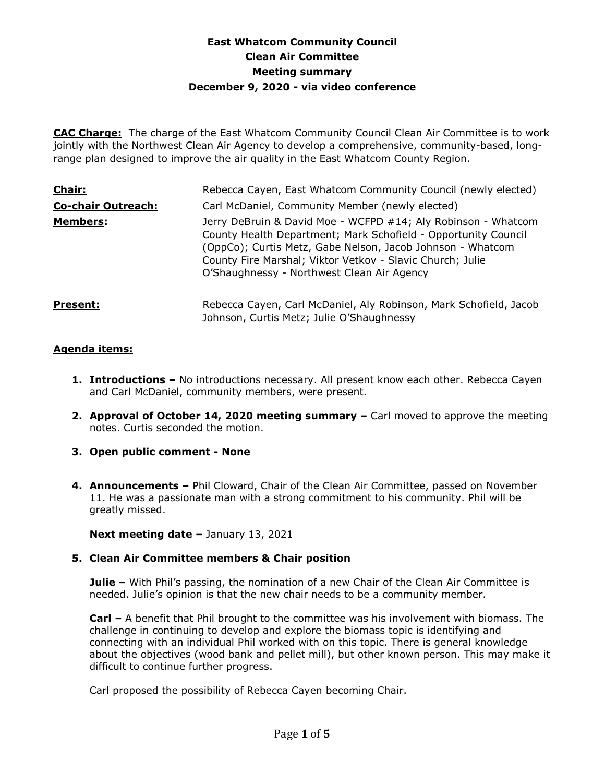# **East Whatcom Community Council Clean Air Committee Meeting summary December 9, 2020 - via video conference**

**CAC Charge:** The charge of the East Whatcom Community Council Clean Air Committee is to work jointly with the Northwest Clean Air Agency to develop a comprehensive, community-based, longrange plan designed to improve the air quality in the East Whatcom County Region.

| <b>Chair:</b>             | Rebecca Cayen, East Whatcom Community Council (newly elected)                                                                                                                                                                                                                                            |
|---------------------------|----------------------------------------------------------------------------------------------------------------------------------------------------------------------------------------------------------------------------------------------------------------------------------------------------------|
| <b>Co-chair Outreach:</b> | Carl McDaniel, Community Member (newly elected)                                                                                                                                                                                                                                                          |
| <b>Members:</b>           | Jerry DeBruin & David Moe - WCFPD #14; Aly Robinson - Whatcom<br>County Health Department; Mark Schofield - Opportunity Council<br>(OppCo); Curtis Metz, Gabe Nelson, Jacob Johnson - Whatcom<br>County Fire Marshal; Viktor Vetkov - Slavic Church; Julie<br>O'Shaughnessy - Northwest Clean Air Agency |
| <b>Present:</b>           | Rebecca Cayen, Carl McDaniel, Aly Robinson, Mark Schofield, Jacob<br>Johnson, Curtis Metz; Julie O'Shaughnessy                                                                                                                                                                                           |

# **Agenda items:**

- **1. Introductions –** No introductions necessary. All present know each other. Rebecca Cayen and Carl McDaniel, community members, were present.
- **2. Approval of October 14, 2020 meeting summary –** Carl moved to approve the meeting notes. Curtis seconded the motion.
- **3. Open public comment - None**
- **4. Announcements –** Phil Cloward, Chair of the Clean Air Committee, passed on November 11. He was a passionate man with a strong commitment to his community. Phil will be greatly missed.

**Next meeting date –** January 13, 2021

# **5. Clean Air Committee members & Chair position**

**Julie –** With Phil's passing, the nomination of a new Chair of the Clean Air Committee is needed. Julie's opinion is that the new chair needs to be a community member.

**Carl –** A benefit that Phil brought to the committee was his involvement with biomass. The challenge in continuing to develop and explore the biomass topic is identifying and connecting with an individual Phil worked with on this topic. There is general knowledge about the objectives (wood bank and pellet mill), but other known person. This may make it difficult to continue further progress.

Carl proposed the possibility of Rebecca Cayen becoming Chair.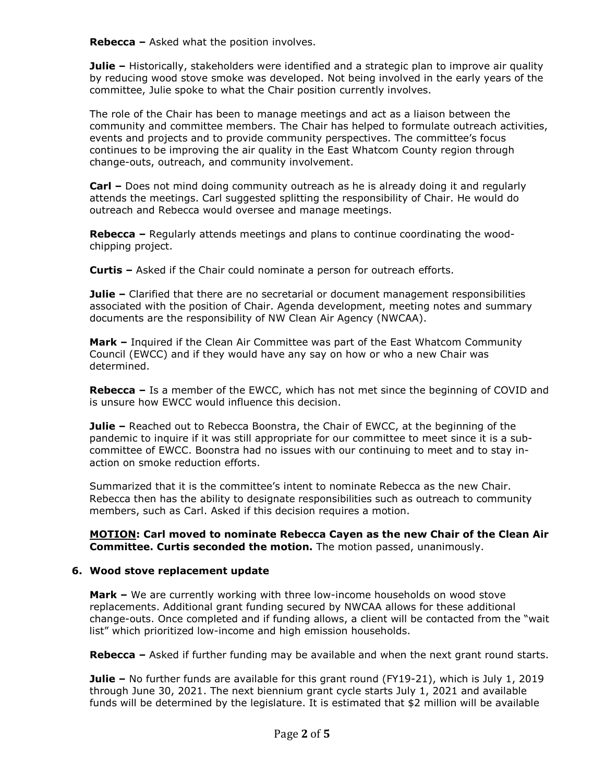**Rebecca –** Asked what the position involves.

**Julie –** Historically, stakeholders were identified and a strategic plan to improve air quality by reducing wood stove smoke was developed. Not being involved in the early years of the committee, Julie spoke to what the Chair position currently involves.

The role of the Chair has been to manage meetings and act as a liaison between the community and committee members. The Chair has helped to formulate outreach activities, events and projects and to provide community perspectives. The committee's focus continues to be improving the air quality in the East Whatcom County region through change-outs, outreach, and community involvement.

**Carl –** Does not mind doing community outreach as he is already doing it and regularly attends the meetings. Carl suggested splitting the responsibility of Chair. He would do outreach and Rebecca would oversee and manage meetings.

**Rebecca –** Regularly attends meetings and plans to continue coordinating the woodchipping project.

**Curtis –** Asked if the Chair could nominate a person for outreach efforts.

**Julie –** Clarified that there are no secretarial or document management responsibilities associated with the position of Chair. Agenda development, meeting notes and summary documents are the responsibility of NW Clean Air Agency (NWCAA).

**Mark –** Inquired if the Clean Air Committee was part of the East Whatcom Community Council (EWCC) and if they would have any say on how or who a new Chair was determined.

**Rebecca –** Is a member of the EWCC, which has not met since the beginning of COVID and is unsure how EWCC would influence this decision.

**Julie –** Reached out to Rebecca Boonstra, the Chair of EWCC, at the beginning of the pandemic to inquire if it was still appropriate for our committee to meet since it is a subcommittee of EWCC. Boonstra had no issues with our continuing to meet and to stay inaction on smoke reduction efforts.

Summarized that it is the committee's intent to nominate Rebecca as the new Chair. Rebecca then has the ability to designate responsibilities such as outreach to community members, such as Carl. Asked if this decision requires a motion.

**MOTION: Carl moved to nominate Rebecca Cayen as the new Chair of the Clean Air Committee. Curtis seconded the motion.** The motion passed, unanimously.

# **6. Wood stove replacement update**

**Mark –** We are currently working with three low-income households on wood stove replacements. Additional grant funding secured by NWCAA allows for these additional change-outs. Once completed and if funding allows, a client will be contacted from the "wait list" which prioritized low-income and high emission households.

**Rebecca –** Asked if further funding may be available and when the next grant round starts.

**Julie –** No further funds are available for this grant round (FY19-21), which is July 1, 2019 through June 30, 2021. The next biennium grant cycle starts July 1, 2021 and available funds will be determined by the legislature. It is estimated that \$2 million will be available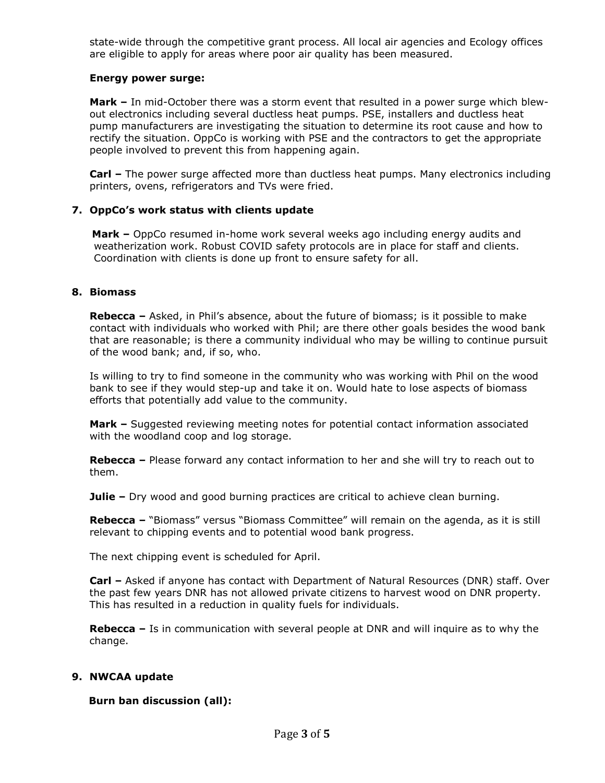state-wide through the competitive grant process. All local air agencies and Ecology offices are eligible to apply for areas where poor air quality has been measured.

## **Energy power surge:**

**Mark –** In mid-October there was a storm event that resulted in a power surge which blewout electronics including several ductless heat pumps. PSE, installers and ductless heat pump manufacturers are investigating the situation to determine its root cause and how to rectify the situation. OppCo is working with PSE and the contractors to get the appropriate people involved to prevent this from happening again.

**Carl –** The power surge affected more than ductless heat pumps. Many electronics including printers, ovens, refrigerators and TVs were fried.

# **7. OppCo's work status with clients update**

 **Mark –** OppCo resumed in-home work several weeks ago including energy audits and weatherization work. Robust COVID safety protocols are in place for staff and clients. Coordination with clients is done up front to ensure safety for all.

## **8. Biomass**

**Rebecca** – Asked, in Phil's absence, about the future of biomass; is it possible to make contact with individuals who worked with Phil; are there other goals besides the wood bank that are reasonable; is there a community individual who may be willing to continue pursuit of the wood bank; and, if so, who.

Is willing to try to find someone in the community who was working with Phil on the wood bank to see if they would step-up and take it on. Would hate to lose aspects of biomass efforts that potentially add value to the community.

**Mark –** Suggested reviewing meeting notes for potential contact information associated with the woodland coop and log storage.

**Rebecca –** Please forward any contact information to her and she will try to reach out to them.

**Julie –** Dry wood and good burning practices are critical to achieve clean burning.

**Rebecca –** "Biomass" versus "Biomass Committee" will remain on the agenda, as it is still relevant to chipping events and to potential wood bank progress.

The next chipping event is scheduled for April.

**Carl –** Asked if anyone has contact with Department of Natural Resources (DNR) staff. Over the past few years DNR has not allowed private citizens to harvest wood on DNR property. This has resulted in a reduction in quality fuels for individuals.

**Rebecca –** Is in communication with several people at DNR and will inquire as to why the change.

## **9. NWCAA update**

**Burn ban discussion (all):**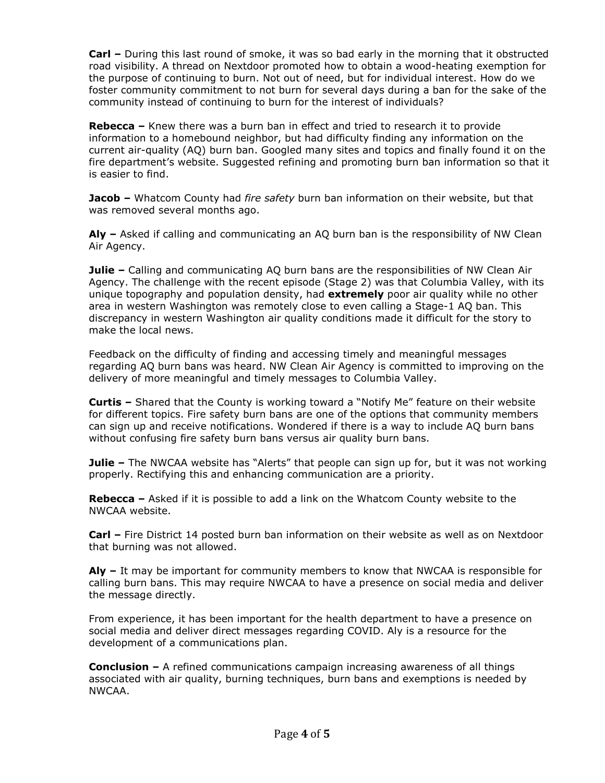**Carl –** During this last round of smoke, it was so bad early in the morning that it obstructed road visibility. A thread on Nextdoor promoted how to obtain a wood-heating exemption for the purpose of continuing to burn. Not out of need, but for individual interest. How do we foster community commitment to not burn for several days during a ban for the sake of the community instead of continuing to burn for the interest of individuals?

**Rebecca –** Knew there was a burn ban in effect and tried to research it to provide information to a homebound neighbor, but had difficulty finding any information on the current air-quality (AQ) burn ban. Googled many sites and topics and finally found it on the fire department's website. Suggested refining and promoting burn ban information so that it is easier to find.

**Jacob –** Whatcom County had *fire safety* burn ban information on their website, but that was removed several months ago.

**Aly –** Asked if calling and communicating an AQ burn ban is the responsibility of NW Clean Air Agency.

**Julie –** Calling and communicating AQ burn bans are the responsibilities of NW Clean Air Agency. The challenge with the recent episode (Stage 2) was that Columbia Valley, with its unique topography and population density, had **extremely** poor air quality while no other area in western Washington was remotely close to even calling a Stage-1 AQ ban. This discrepancy in western Washington air quality conditions made it difficult for the story to make the local news.

Feedback on the difficulty of finding and accessing timely and meaningful messages regarding AQ burn bans was heard. NW Clean Air Agency is committed to improving on the delivery of more meaningful and timely messages to Columbia Valley.

**Curtis –** Shared that the County is working toward a "Notify Me" feature on their website for different topics. Fire safety burn bans are one of the options that community members can sign up and receive notifications. Wondered if there is a way to include AQ burn bans without confusing fire safety burn bans versus air quality burn bans.

**Julie –** The NWCAA website has "Alerts" that people can sign up for, but it was not working properly. Rectifying this and enhancing communication are a priority.

**Rebecca –** Asked if it is possible to add a link on the Whatcom County website to the NWCAA website.

**Carl –** Fire District 14 posted burn ban information on their website as well as on Nextdoor that burning was not allowed.

**Aly –** It may be important for community members to know that NWCAA is responsible for calling burn bans. This may require NWCAA to have a presence on social media and deliver the message directly.

From experience, it has been important for the health department to have a presence on social media and deliver direct messages regarding COVID. Aly is a resource for the development of a communications plan.

**Conclusion –** A refined communications campaign increasing awareness of all things associated with air quality, burning techniques, burn bans and exemptions is needed by NWCAA.